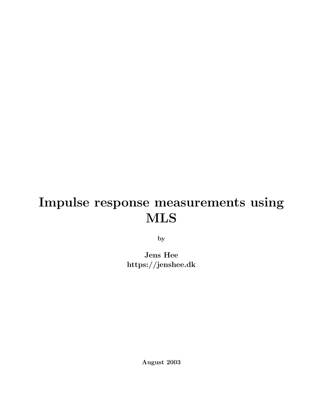# Impulse response measurements using MLS

by

Jens Hee https://jenshee.dk

August 2003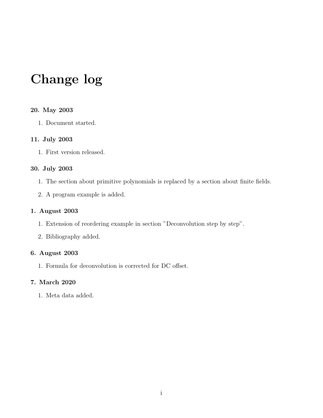# Change log

#### 20. May 2003

1. Document started.

#### 11. July 2003

1. First version released.

#### 30. July 2003

- 1. The section about primitive polynomials is replaced by a section about finite fields.
- 2. A program example is added.

#### 1. August 2003

- 1. Extension of reordering example in section "Deconvolution step by step".
- 2. Bibliography added.

#### 6. August 2003

1. Formula for deconvolution is corrected for DC offset.

#### 7. March 2020

1. Meta data added.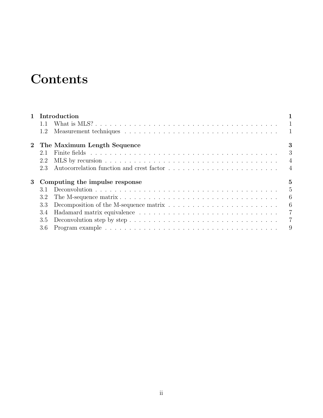# **Contents**

|                | 1 Introduction                      |                               |                |  |
|----------------|-------------------------------------|-------------------------------|----------------|--|
|                | 1.1                                 |                               |                |  |
|                |                                     |                               |                |  |
|                |                                     | 2 The Maximum Length Sequence | 3              |  |
|                | 2.1                                 |                               |                |  |
|                | 2.2                                 |                               | $\overline{4}$ |  |
|                | 2.3                                 |                               |                |  |
| 3 <sup>1</sup> | 5<br>Computing the impulse response |                               |                |  |
|                | 3.1                                 |                               | $\overline{5}$ |  |
|                | 3.2                                 |                               | 6              |  |
|                | 3.3                                 |                               | 6              |  |
|                | 3.4                                 |                               | $\overline{7}$ |  |
|                | 3.5                                 |                               | $\overline{7}$ |  |
|                |                                     |                               | 9              |  |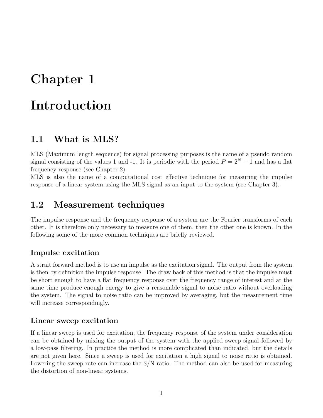## <span id="page-3-0"></span>Chapter 1

## Introduction

### <span id="page-3-1"></span>1.1 What is MLS?

MLS (Maximum length sequence) for signal processing purposes is the name of a pseudo random signal consisting of the values 1 and -1. It is periodic with the period  $P = 2^N - 1$  and has a flat frequency response (see Chapter 2).

MLS is also the name of a computational cost effective technique for measuring the impulse response of a linear system using the MLS signal as an input to the system (see Chapter 3).

### <span id="page-3-2"></span>1.2 Measurement techniques

The impulse response and the frequency response of a system are the Fourier transforms of each other. It is therefore only necessary to measure one of them, then the other one is known. In the following some of the more common techniques are briefly reviewed.

#### Impulse excitation

A strait forward method is to use an impulse as the excitation signal. The output from the system is then by definition the impulse response. The draw back of this method is that the impulse must be short enough to have a flat frequency response over the frequency range of interest and at the same time produce enough energy to give a reasonable signal to noise ratio without overloading the system. The signal to noise ratio can be improved by averaging, but the measurement time will increase correspondingly.

#### Linear sweep excitation

If a linear sweep is used for excitation, the frequency response of the system under consideration can be obtained by mixing the output of the system with the applied sweep signal followed by a low-pass filtering. In practice the method is more complicated than indicated, but the details are not given here. Since a sweep is used for excitation a high signal to noise ratio is obtained. Lowering the sweep rate can increase the S/N ratio. The method can also be used for measuring the distortion of non-linear systems.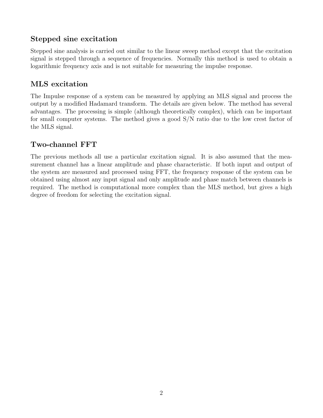### Stepped sine excitation

Stepped sine analysis is carried out similar to the linear sweep method except that the excitation signal is stepped through a sequence of frequencies. Normally this method is used to obtain a logarithmic frequency axis and is not suitable for measuring the impulse response.

#### MLS excitation

The Impulse response of a system can be measured by applying an MLS signal and process the output by a modified Hadamard transform. The details are given below. The method has several advantages. The processing is simple (although theoretically complex), which can be important for small computer systems. The method gives a good S/N ratio due to the low crest factor of the MLS signal.

#### Two-channel FFT

The previous methods all use a particular excitation signal. It is also assumed that the measurement channel has a linear amplitude and phase characteristic. If both input and output of the system are measured and processed using FFT, the frequency response of the system can be obtained using almost any input signal and only amplitude and phase match between channels is required. The method is computational more complex than the MLS method, but gives a high degree of freedom for selecting the excitation signal.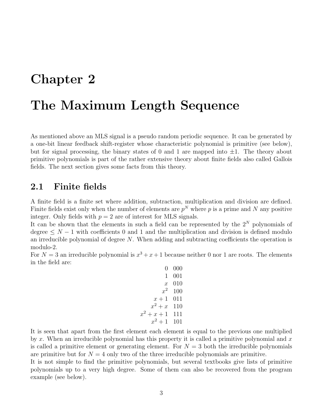## <span id="page-5-0"></span>Chapter 2

## The Maximum Length Sequence

As mentioned above an MLS signal is a pseudo random periodic sequence. It can be generated by a one-bit linear feedback shift-register whose characteristic polynomial is primitive (see below), but for signal processing, the binary states of 0 and 1 are mapped into  $\pm 1$ . The theory about primitive polynomials is part of the rather extensive theory about finite fields also called Gallois fields. The next section gives some facts from this theory.

### <span id="page-5-1"></span>2.1 Finite fields

A finite field is a finite set where addition, subtraction, multiplication and division are defined. Finite fields exist only when the number of elements are  $p^N$  where p is a prime and N any positive integer. Only fields with  $p = 2$  are of interest for MLS signals.

It can be shown that the elements in such a field can be represented by the  $2^N$  polynomials of degree  $\leq N-1$  with coefficients 0 and 1 and the multiplication and division is defined modulo an irreducible polynomial of degree  $N$ . When adding and subtracting coefficients the operation is modulo-2.

For  $N=3$  an irreducible polynomial is  $x^3 + x + 1$  because neither 0 nor 1 are roots. The elements in the field are:

| 000     |
|---------|
| 001     |
| $010\,$ |
| 100     |
| 011     |
| 110     |
| 111     |
| 101     |
|         |

It is seen that apart from the first element each element is equal to the previous one multiplied by x. When an irreducible polynomial has this property it is called a primitive polynomial and  $x$ is called a primitive element or generating element. For  $N = 3$  both the irreducible polynomials are primitive but for  $N = 4$  only two of the three irreducible polynomials are primitive.

It is not simple to find the primitive polynomials, but several textbooks give lists of primitive polynomials up to a very high degree. Some of them can also be recovered from the program example (see below).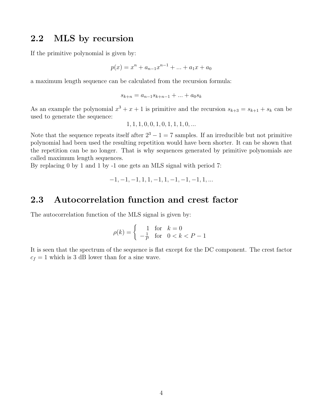#### <span id="page-6-0"></span>2.2 MLS by recursion

If the primitive polynomial is given by:

$$
p(x) = x^{n} + a_{n-1}x^{n-1} + \dots + a_{1}x + a_{0}
$$

a maximum length sequence can be calculated from the recursion formula:

$$
s_{k+n} = a_{n-1}s_{k+n-1} + \dots + a_0s_k
$$

As an example the polynomial  $x^3 + x + 1$  is primitive and the recursion  $s_{k+3} = s_{k+1} + s_k$  can be used to generate the sequence:

$$
1, 1, 1, 0, 0, 1, 0, 1, 1, 1, 0, \dots
$$

Note that the sequence repeats itself after  $2^3 - 1 = 7$  samples. If an irreducible but not primitive polynomial had been used the resulting repetition would have been shorter. It can be shown that the repetition can be no longer. That is why sequences generated by primitive polynomials are called maximum length sequences.

By replacing 0 by 1 and 1 by -1 one gets an MLS signal with period 7:

$$
-1, -1, -1, 1, 1, -1, 1, -1, -1, -1, 1, \dots
$$

#### <span id="page-6-1"></span>2.3 Autocorrelation function and crest factor

The autocorrelation function of the MLS signal is given by:

$$
\rho(k) = \begin{cases} 1 & \text{for} \quad k = 0\\ -\frac{1}{P} & \text{for} \quad 0 < k < P - 1 \end{cases}
$$

It is seen that the spectrum of the sequence is flat except for the DC component. The crest factor  $c_f = 1$  which is 3 dB lower than for a sine wave.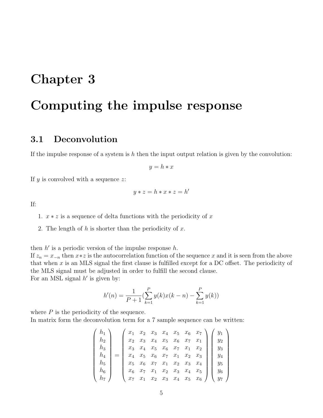## <span id="page-7-0"></span>Chapter 3

## Computing the impulse response

## <span id="page-7-1"></span>3.1 Deconvolution

If the impulse response of a system is  $h$  then the input output relation is given by the convolution:

$$
y = h * x
$$

If  $y$  is convolved with a sequence  $z$ :

$$
y * z = h * x * z = h'
$$

If:

1.  $x * z$  is a sequence of delta functions with the periodicity of x

2. The length of  $h$  is shorter than the periodicity of  $x$ .

then  $h'$  is a periodic version of the impulse response  $h$ . If  $z_n = x_{-n}$  then  $x * z$  is the autocorrelation function of the sequence x and it is seen from the above that when  $x$  is an MLS signal the first clause is fulfilled except for a DC offset. The periodicity of the MLS signal must be adjusted in order to fulfill the second clause. For an MSL signal  $h'$  is given by:

$$
h'(n) = \frac{1}{P+1} \left( \sum_{k=1}^{P} y(k)x(k-n) - \sum_{k=1}^{P} y(k) \right)
$$

where  $P$  is the periodicity of the sequence. In matrix form the deconvolution term for a 7 sample sequence can be written:

$$
\begin{pmatrix}\nh_1 \\
h_2 \\
h_3 \\
h_4 \\
h_5 \\
h_6 \\
h_7\n\end{pmatrix} = \begin{pmatrix}\nx_1 & x_2 & x_3 & x_4 & x_5 & x_6 & x_7 \\
x_2 & x_3 & x_4 & x_5 & x_6 & x_7 & x_1 \\
x_3 & x_4 & x_5 & x_6 & x_7 & x_1 & x_2 \\
x_4 & x_5 & x_6 & x_7 & x_1 & x_2 & x_3 \\
x_5 & x_6 & x_7 & x_1 & x_2 & x_3 & x_4 \\
x_6 & x_7 & x_1 & x_2 & x_3 & x_4 & x_5 \\
x_7 & x_1 & x_2 & x_3 & x_4 & x_5 & x_6\n\end{pmatrix} \begin{pmatrix}\ny_1 \\
y_2 \\
y_3 \\
y_4 \\
y_5 \\
y_6 \\
y_7\n\end{pmatrix}
$$

 $\setminus$ 

 $\begin{array}{c} \hline \end{array}$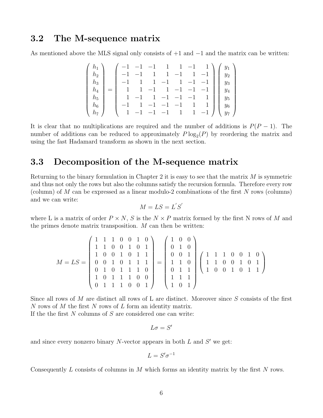#### <span id="page-8-0"></span>3.2 The M-sequence matrix

As mentioned above the MLS signal only consists of  $+1$  and  $-1$  and the matrix can be written:

$$
\begin{pmatrix}\nh_1 \\
h_2 \\
h_3 \\
h_4 \\
h_5 \\
h_6 \\
h_7\n\end{pmatrix} = \begin{pmatrix}\n-1 & -1 & -1 & 1 & 1 & -1 & 1 \\
-1 & -1 & 1 & 1 & -1 & 1 & -1 \\
-1 & 1 & 1 & -1 & 1 & -1 & -1 \\
1 & -1 & 1 & -1 & -1 & -1 & 1 \\
-1 & 1 & -1 & -1 & -1 & 1 & 1 \\
-1 & 1 & -1 & -1 & -1 & 1 & 1 \\
1 & -1 & -1 & -1 & -1 & 1 & 1\n\end{pmatrix} \begin{pmatrix}\ny_1 \\
y_2 \\
y_3 \\
y_4 \\
y_5 \\
y_6 \\
y_7\n\end{pmatrix}
$$

It is clear that no multiplications are required and the number of additions is  $P(P-1)$ . The number of additions can be reduced to approximately  $P \log_2(P)$  by reordering the matrix and using the fast Hadamard transform as shown in the next section.

### <span id="page-8-1"></span>3.3 Decomposition of the M-sequence matrix

Returning to the binary formulation in Chapter 2 it is easy to see that the matrix  $M$  is symmetric and thus not only the rows but also the columns satisfy the recursion formula. Therefore every row (column) of M can be expressed as a linear modulo-2 combinations of the first N rows (columns) and we can write:  $\mathcal{L}_{\alpha}$ 

$$
M = LS = L'S'
$$

where L is a matrix of order  $P \times N$ , S is the  $N \times P$  matrix formed by the first N rows of M and the primes denote matrix transposition.  $M$  can then be written:

$$
M = LS = \begin{pmatrix} 1 & 1 & 1 & 0 & 0 & 1 & 0 \\ 1 & 1 & 0 & 0 & 1 & 0 & 1 \\ 1 & 0 & 0 & 1 & 0 & 1 & 1 \\ 0 & 0 & 1 & 0 & 1 & 1 & 1 \\ 0 & 1 & 0 & 1 & 1 & 1 & 0 \\ 0 & 1 & 1 & 1 & 0 & 0 & 1 \end{pmatrix} = \begin{pmatrix} 1 & 0 & 0 \\ 0 & 1 & 0 \\ 0 & 0 & 1 \\ 1 & 1 & 0 \\ 0 & 1 & 1 \\ 1 & 0 & 1 \end{pmatrix} \begin{pmatrix} 1 & 1 & 1 & 0 & 0 & 1 & 0 \\ 1 & 1 & 1 & 0 & 0 & 1 & 0 \\ 1 & 1 & 0 & 0 & 1 & 0 & 1 \\ 1 & 0 & 1 & 1 & 1 \\ 1 & 0 & 1 & 1 \end{pmatrix}
$$

Since all rows of  $M$  are distinct all rows of L are distinct. Moreover since  $S$  consists of the first N rows of M the first N rows of L form an identity matrix.

If the the first  $N$  columns of  $S$  are considered one can write:

$$
L\sigma=S'
$$

and since every nonzero binary  $N$ -vector appears in both  $L$  and  $S'$  we get:

$$
L=S'\sigma^{-1}
$$

Consequently L consists of columns in M which forms an identity matrix by the first N rows.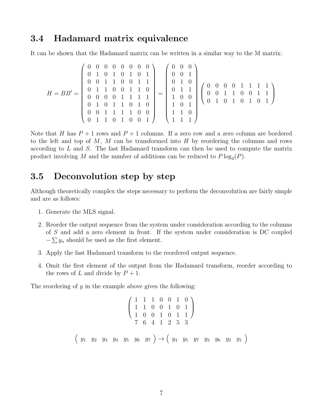### <span id="page-9-0"></span>3.4 Hadamard matrix equivalence

It can be shown that the Hadamard matrix can be written in a similar way to the M matrix:

$$
H=BB'=\left(\begin{array}{cccccc} 0 & 0 & 0 & 0 & 0 & 0 & 0 \\ 0 & 1 & 0 & 1 & 0 & 1 & 0 & 1 \\ 0 & 0 & 1 & 1 & 0 & 0 & 1 & 1 \\ 0 & 0 & 0 & 0 & 1 & 1 & 1 & 1 \\ 0 & 1 & 0 & 1 & 1 & 0 & 1 & 0 \\ 0 & 0 & 1 & 1 & 1 & 1 & 0 & 0 \\ 0 & 0 & 1 & 1 & 1 & 1 & 0 & 0 \\ 0 & 1 & 1 & 0 & 1 & 0 & 0 & 1 \end{array}\right)=\left(\begin{array}{ccccc} 0 & 0 & 0 & 0 \\ 0 & 0 & 1 & 0 \\ 0 & 1 & 0 & 0 \\ 1 & 0 & 1 & 0 \\ 1 & 0 & 1 & 0 \\ 1 & 1 & 1 & 0 \\ 1 & 1 & 1 & 0 \\ 1 & 1 & 1 & 1 \end{array}\right)\left(\begin{array}{ccccc} 0 & 0 & 0 & 1 & 1 & 1 & 1 \\ 0 & 0 & 0 & 1 & 1 & 1 & 1 \\ 0 & 0 & 1 & 1 & 1 & 1 & 1 \\ 0 & 1 & 0 & 1 & 0 & 1 & 0 \\ 1 & 1 & 1 & 0 & 1 & 0 & 1 \\ 1 & 1 & 1 & 1 & 1 & 1 \end{array}\right)
$$

Note that H has  $P + 1$  rows and  $P + 1$  columns. If a zero row and a zero column are bordered to the left and top of  $M$ ,  $M$  can be transformed into  $H$  by reordering the columns and rows according to L and S. The fast Hadamard transform can then be used to compute the matrix product involving M and the number of additions can be reduced to  $P \log_2(P)$ .

### <span id="page-9-1"></span>3.5 Deconvolution step by step

Although theoretically complex the steps necessary to perform the deconvolution are fairly simple and are as follows:

- 1. Generate the MLS signal.
- 2. Reorder the output sequence from the system under consideration according to the columns of S and add a zero element in front. If the system under consideration is DC coupled  $-\sum y_n$  should be used as the first element.
- 3. Apply the fast Hadamard transform to the reordered output sequence.
- 4. Omit the first element of the output from the Hadamard transform, reorder according to the rows of L and divide by  $P + 1$ .

The reordering of  $y$  in the example above gives the following:

$$
\begin{pmatrix}\n1 & 1 & 1 & 0 & 0 & 1 & 0 \\
1 & 1 & 0 & 0 & 1 & 0 & 1 \\
1 & 0 & 0 & 1 & 0 & 1 & 1 \\
7 & 6 & 4 & 1 & 2 & 5 & 3\n\end{pmatrix}
$$
\n
$$
\begin{pmatrix}\ny_1 & y_2 & y_3 & y_4 & y_5 & y_6 & y_7\n\end{pmatrix} \rightarrow \begin{pmatrix}\ny_4 & y_5 & y_7 & y_3 & y_6 & y_2 & y_1\n\end{pmatrix}
$$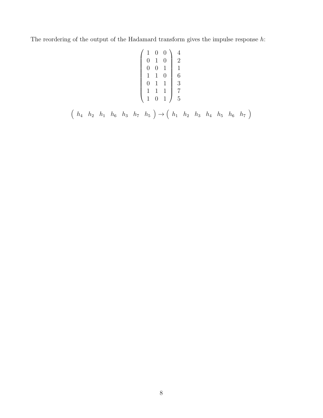The reordering of the output of the Hadamard transform gives the impulse response  $h$ :

$$
\left(\begin{array}{cccc} 1 & 0 & 0 \\ 0 & 1 & 0 \\ 0 & 0 & 1 \\ 1 & 1 & 0 \\ 0 & 1 & 1 \\ 1 & 1 & 0 \\ 1 & 1 & 1 \\ 1 & 0 & 1 \end{array}\right) \left(\begin{array}{c} 4 \\ 2 \\ 1 \\ 6 \\ 3 \\ 7 \\ 7 \\ 5 \end{array}\right)
$$

$$
\left(h_4 \quad h_2 \quad h_1 \quad h_6 \quad h_3 \quad h_7 \quad h_5\right) \rightarrow \left(h_1 \quad h_2 \quad h_3 \quad h_4 \quad h_5 \quad h_6 \quad h_7\right)
$$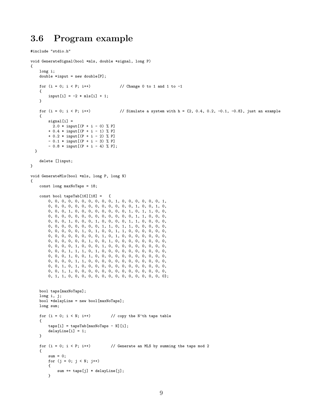### <span id="page-11-0"></span>3.6 Program example

```
#include "stdio.h"
void GenerateSignal(bool *mls, double *signal, long P)
{
   long i;
   double *input = new double[P];for (i = 0; i < P; i++) // Change 0 to 1 and 1 to -1
   {
       input[i] = -2 * mls[i] + 1;}
   for (i = 0; i < P; i++) // Simulate a system with h = {2, 0.4, 0.2, -0.1, -0.8}, just an example
   {
       signal[i] =2.0 * input [(P + i - 0) % P]+ 0.4 * input[(P + i - 1) % P]
        + 0.2 * input[(P + i - 2) % P]
       - 0.1 * input[(P + i - 3) % P]- 0.8 * input[(P + i - 4) % P];}
   delete []input;
}
void GenerateMls(bool *mls, long P, long N)
{
   const long maxNoTaps = 18;
    const bool tapsTab[16][18] = {0, 0, 0, 0, 0, 0, 0, 0, 0, 0, 1, 0, 0, 0, 0, 0, 0, 1,
       0, 0, 0, 0, 0, 0, 0, 0, 0, 0, 0, 0, 0, 1, 0, 0, 1, 0,
       0, 0, 0, 1, 0, 0, 0, 0, 0, 0, 0, 0, 1, 0, 1, 1, 0, 0,
       0, 0, 0, 0, 0, 0, 0, 0, 0, 0, 0, 0, 0, 1, 1, 0, 0, 0,
       0, 0, 0, 1, 0, 0, 0, 1, 0, 0, 0, 0, 1, 1, 0, 0, 0, 0,
       0, 0, 0, 0, 0, 0, 0, 0, 1, 1, 0, 1, 1, 0, 0, 0, 0, 0,
       0, 0, 0, 0, 0, 1, 0, 1, 0, 0, 1, 1, 0, 0, 0, 0, 0, 0,
       0, 0, 0, 0, 0, 0, 0, 0, 1, 0, 1, 0, 0, 0, 0, 0, 0, 0,
       0, 0, 0, 0, 0, 0, 1, 0, 0, 1, 0, 0, 0, 0, 0, 0, 0, 0,
       0, 0, 0, 0, 1, 0, 0, 0, 1, 0, 0, 0, 0, 0, 0, 0, 0, 0,
       0, 0, 0, 1, 1, 1, 0, 1, 0, 0, 0, 0, 0, 0, 0, 0, 0, 0,
       0, 0, 0, 1, 0, 0, 1, 0, 0, 0, 0, 0, 0, 0, 0, 0, 0, 0,
       0, 0, 0, 0, 1, 1, 0, 0, 0, 0, 0, 0, 0, 0, 0, 0, 0, 0,
       0, 0, 1, 0, 1, 0, 0, 0, 0, 0, 0, 0, 0, 0, 0, 0, 0, 0,
       0, 0, 1, 1, 0, 0, 0, 0, 0, 0, 0, 0, 0, 0, 0, 0, 0, 0,
       0, 1, 1, 0, 0, 0, 0, 0, 0, 0, 0, 0, 0, 0, 0, 0, 0, 0};
   bool taps[maxNoTaps];
   long i, j;
   bool *delayLine = new bool[maxNoTaps];
   long sum;
   for (i = 0; i < N; i++) // copy the N'th taps table
   {
        taps[i] = tapsTab(maxNoTaps - N][i];delayLine[i] = 1;
   }
   for (i = 0; i < P; i++) // Generate an MLS by summing the taps mod 2
    {
       sum = 0;
       for (j = 0; j < N; j++){
           sum += taps[j] * delayLine[j];}
```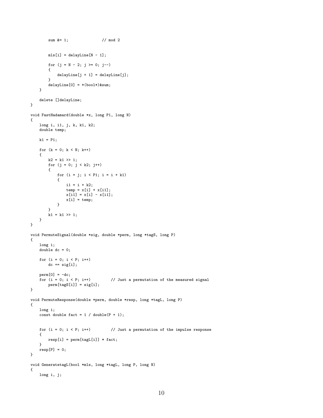```
sum &= 1; // mod 2
       mls[i] = delayLine[N - 1];for (j = N - 2; j \ge 0; j--)
       {
           delayLine[j + 1] = delayLine[j];}
       delayLine[0] = * (bool*)∑
    }
    delete []delayLine;
}
void FastHadamard(double *x, long P1, long N)
{
    long i, i1, j, k, k1, k2;
    double temp;
   k1 = P1;for (k = 0; k < N; k++){
       k2 = k1 \gg 1;for (j = 0; j < k2; j++){
           for (i = j; i < P1; i = i + k1){
               i1 = i + k2;temp = x[i] + x[i];x[i1] = x[i] - x[i1];x[i] = temp;}
       }
       k1 = k1 \gg 1;}
}
void PermuteSignal(double *sig, double *perm, long *tagS, long P)
{
    long i;
   double dc = 0;
    for (i = 0; i < p; i++)dc += sig[i];
    perm[0] = -dc;<br>for (i = 0; i < P; i++)
                                   // Just a permutation of the measured signal
       perm[tagS[i]] = sig[i];
}
void PermuteResponse(double *perm, double *resp, long *tagL, long P)
{
    long i;
    const double fact = 1 / double(P + 1);
   for (i = 0; i < P; i++) // Just a permutation of the impulse response
    {
       resp[i] = perm[tagL[i]] * fact;
    }
   resp[P] = 0;}
void GeneratetagL(bool *mls, long *tagL, long P, long N)
{
    long i, j;
```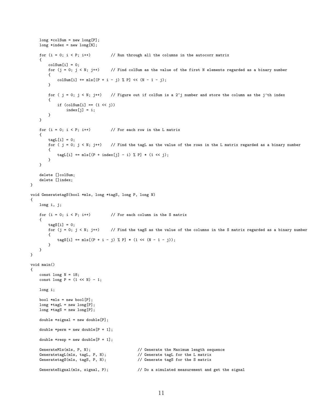```
long * colSum = new long[P];long *index = new long[N];for (i = 0; i < P; i++) // Run through all the columns in the autocorr matrix
    {
        colSum[i] = 0;<br>for (j = 0; j < N; j++)
                                     \frac{1}{\sqrt{2}} Find colSum as the value of the first N elements regarded as a binary number
         {
             colSum[i] += mls[(P + i - j) % P] << (N - 1 - j);
        }
        for ( j = 0; j < N; j++) // Figure out if colSum is a 2<sup>\gamma</sup> number and store the column as the j'th index
         {
             if (colSum[i] == (1 \le i))index[j] = i;}
    }
    for (i = 0; i < P; i++) // For each row in the L matrix
    {
        tagL[i] = 0;<br>for ( j = 0; j < N; j++)\frac{1}{1} Find the tagL as the value of the rows in the L matrix regarded as a binary number
        {
             tagL[i] += mls[(P + index[j] - i) % P] * (1 << j);}
    }
    delete []colSum;
    delete []index;
}
void GeneratetagS(bool *mls, long *tagS, long P, long N)
{
    long i, j;
    for (i = 0; i < p; i++) // For each column in the S matrix
    {
        tagS[i] = 0;<br>for (j = 0; j < N; j++)
                                       // Find the tagS as the value of the columns in the S matrix regarded as a binary number
        {
             tagS[i] += mls[(P + i - j) % P] * (1 << (N - 1 - j));}
    }
}
void main()
{
    const long N = 18;
    const long P = (1 \leq N) - 1;
    long i;
    bool *mls = new bool[P];
    long *tagL = new long[P];
    long * tagS = new long[P];double *signal = new double[P];
    double *perm = new double [P + 1];
    double *resp = new double [P + 1];
    GenerateMls(mls, P, N); <br> // Generate the Maximum length sequence<br> // Generate tagL for the L matrix<br> // Generate tagL for the L matrix
    GeneratetagL(mls, tagL, P, N); // Generate tagL for the L matrix<br>GeneratetagS(mls, tagS, P, N); // Generate tagS for the S matrix
                                                    // Generate tagS for the S matrix
    GenerateSignal(mls, signal, P); // Do a simulated measurement and get the signal
```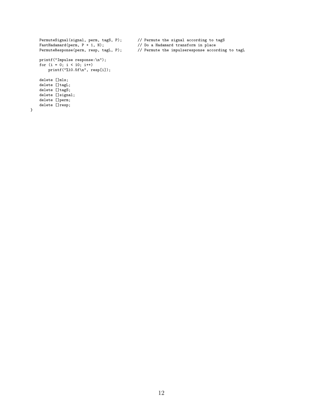```
FastHadamard(perm, P + 1, N);<br>
P + 1, N);<br>
P // Permute the impulseresponse accompared the impulseresponse accompared to the impulseresponse accompared to Pprintf("Impulse response:\n");
for (i = 0; i < 10; i++)printf("%10.5f\n", resp[i]);
delete []mls;
delete []tagL;
delete []tagS;
delete []signal;
delete []perm;
delete []resp;
```
}

PermuteSignal(signal, perm, tagS, P); // Permute the signal according to tagS<br>FastHadamard(perm, P + 1, N); // Do a Hadamard transform in place

// Permute the impulseresponse according to tagL